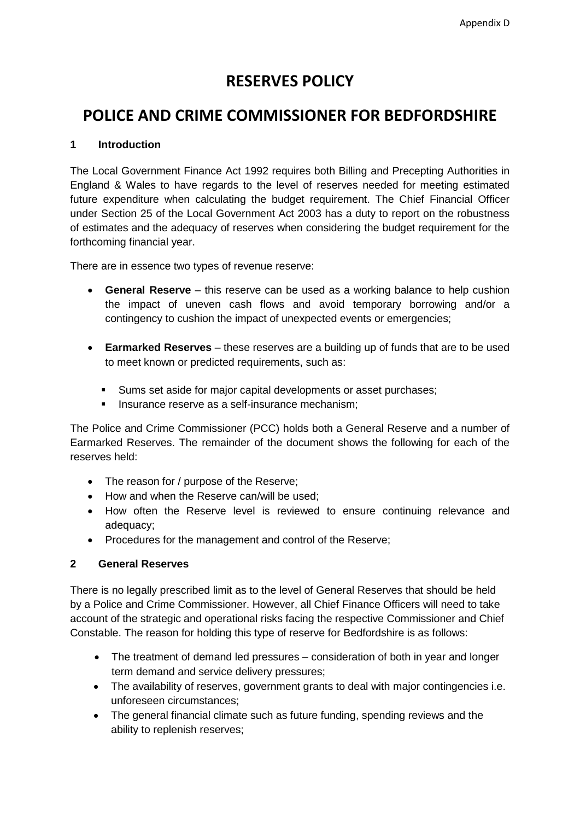# **RESERVES POLICY**

# **POLICE AND CRIME COMMISSIONER FOR BEDFORDSHIRE**

# **1 Introduction**

The Local Government Finance Act 1992 requires both Billing and Precepting Authorities in England & Wales to have regards to the level of reserves needed for meeting estimated future expenditure when calculating the budget requirement. The Chief Financial Officer under Section 25 of the Local Government Act 2003 has a duty to report on the robustness of estimates and the adequacy of reserves when considering the budget requirement for the forthcoming financial year.

There are in essence two types of revenue reserve:

- **General Reserve** this reserve can be used as a working balance to help cushion the impact of uneven cash flows and avoid temporary borrowing and/or a contingency to cushion the impact of unexpected events or emergencies;
- **Earmarked Reserves** these reserves are a building up of funds that are to be used to meet known or predicted requirements, such as:
	- Sums set aside for major capital developments or asset purchases;
	- **Insurance reserve as a self-insurance mechanism:**

The Police and Crime Commissioner (PCC) holds both a General Reserve and a number of Earmarked Reserves. The remainder of the document shows the following for each of the reserves held:

- The reason for / purpose of the Reserve;
- How and when the Reserve can/will be used:
- How often the Reserve level is reviewed to ensure continuing relevance and adequacy;
- Procedures for the management and control of the Reserve;

# **2 General Reserves**

There is no legally prescribed limit as to the level of General Reserves that should be held by a Police and Crime Commissioner. However, all Chief Finance Officers will need to take account of the strategic and operational risks facing the respective Commissioner and Chief Constable. The reason for holding this type of reserve for Bedfordshire is as follows:

- The treatment of demand led pressures consideration of both in year and longer term demand and service delivery pressures;
- The availability of reserves, government grants to deal with major contingencies i.e. unforeseen circumstances;
- The general financial climate such as future funding, spending reviews and the ability to replenish reserves;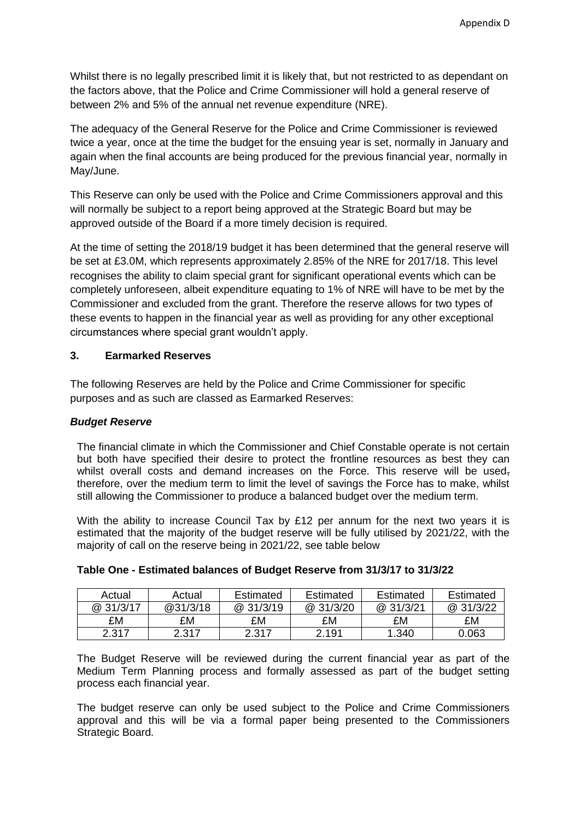Whilst there is no legally prescribed limit it is likely that, but not restricted to as dependant on the factors above, that the Police and Crime Commissioner will hold a general reserve of between 2% and 5% of the annual net revenue expenditure (NRE).

The adequacy of the General Reserve for the Police and Crime Commissioner is reviewed twice a year, once at the time the budget for the ensuing year is set, normally in January and again when the final accounts are being produced for the previous financial year, normally in May/June.

This Reserve can only be used with the Police and Crime Commissioners approval and this will normally be subject to a report being approved at the Strategic Board but may be approved outside of the Board if a more timely decision is required.

At the time of setting the 2018/19 budget it has been determined that the general reserve will be set at £3.0M, which represents approximately 2.85% of the NRE for 2017/18. This level recognises the ability to claim special grant for significant operational events which can be completely unforeseen, albeit expenditure equating to 1% of NRE will have to be met by the Commissioner and excluded from the grant. Therefore the reserve allows for two types of these events to happen in the financial year as well as providing for any other exceptional circumstances where special grant wouldn't apply.

### **3. Earmarked Reserves**

The following Reserves are held by the Police and Crime Commissioner for specific purposes and as such are classed as Earmarked Reserves:

#### *Budget Reserve*

The financial climate in which the Commissioner and Chief Constable operate is not certain but both have specified their desire to protect the frontline resources as best they can whilst overall costs and demand increases on the Force. This reserve will be used, therefore, over the medium term to limit the level of savings the Force has to make, whilst still allowing the Commissioner to produce a balanced budget over the medium term.

With the ability to increase Council Tax by £12 per annum for the next two years it is estimated that the majority of the budget reserve will be fully utilised by 2021/22, with the majority of call on the reserve being in 2021/22, see table below

| Actual   | Actual   | Estimated | Estimated | Estimated | Estimated |
|----------|----------|-----------|-----------|-----------|-----------|
| @31/3/17 | @31/3/18 | @ 31/3/19 | @ 31/3/20 | @ 31/3/21 | @31/3/22  |
| £M       | £M       | £M        | £M        | £M        | £M        |
| 2.317    | 2.317    | 2.317     | 2.191     | 1.340     | 0.063     |

| Table One - Estimated balances of Budget Reserve from 31/3/17 to 31/3/22 |  |  |
|--------------------------------------------------------------------------|--|--|
|--------------------------------------------------------------------------|--|--|

The Budget Reserve will be reviewed during the current financial year as part of the Medium Term Planning process and formally assessed as part of the budget setting process each financial year.

The budget reserve can only be used subject to the Police and Crime Commissioners approval and this will be via a formal paper being presented to the Commissioners Strategic Board.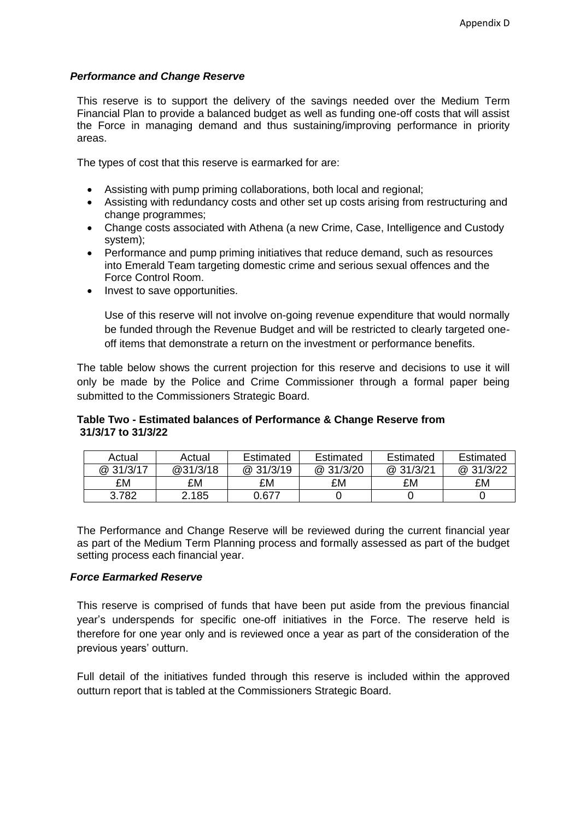### *Performance and Change Reserve*

This reserve is to support the delivery of the savings needed over the Medium Term Financial Plan to provide a balanced budget as well as funding one-off costs that will assist the Force in managing demand and thus sustaining/improving performance in priority areas.

The types of cost that this reserve is earmarked for are:

- Assisting with pump priming collaborations, both local and regional;
- Assisting with redundancy costs and other set up costs arising from restructuring and change programmes;
- Change costs associated with Athena (a new Crime, Case, Intelligence and Custody system);
- Performance and pump priming initiatives that reduce demand, such as resources into Emerald Team targeting domestic crime and serious sexual offences and the Force Control Room.
- Invest to save opportunities.

Use of this reserve will not involve on-going revenue expenditure that would normally be funded through the Revenue Budget and will be restricted to clearly targeted oneoff items that demonstrate a return on the investment or performance benefits.

The table below shows the current projection for this reserve and decisions to use it will only be made by the Police and Crime Commissioner through a formal paper being submitted to the Commissioners Strategic Board.

### **Table Two - Estimated balances of Performance & Change Reserve from 31/3/17 to 31/3/22**

| Actual    | Actual   | Estimated | Estimated | Estimated | Estimated |
|-----------|----------|-----------|-----------|-----------|-----------|
| @ 31/3/17 | @31/3/18 | @ 31/3/19 | @ 31/3/20 | @31/3/21  | @ 31/3/22 |
| £M        | £M       | £M        | £M        | £M        | £M        |
| 3.782     | 2.185    | 0.677     |           |           |           |

The Performance and Change Reserve will be reviewed during the current financial year as part of the Medium Term Planning process and formally assessed as part of the budget setting process each financial year.

# *Force Earmarked Reserve*

This reserve is comprised of funds that have been put aside from the previous financial year's underspends for specific one-off initiatives in the Force. The reserve held is therefore for one year only and is reviewed once a year as part of the consideration of the previous years' outturn.

Full detail of the initiatives funded through this reserve is included within the approved outturn report that is tabled at the Commissioners Strategic Board.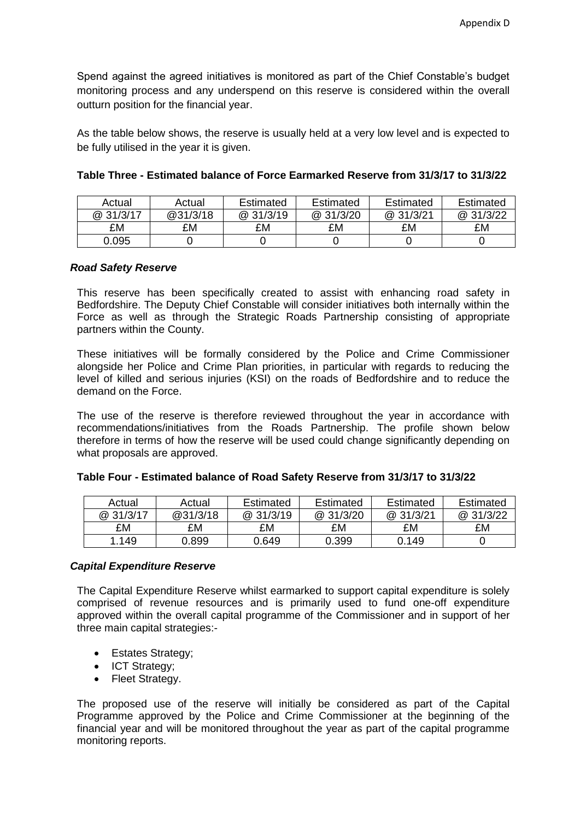Spend against the agreed initiatives is monitored as part of the Chief Constable's budget monitoring process and any underspend on this reserve is considered within the overall outturn position for the financial year.

As the table below shows, the reserve is usually held at a very low level and is expected to be fully utilised in the year it is given.

| Actual    | Actual   | Estimated | Estimated | Estimated | Estimated |
|-----------|----------|-----------|-----------|-----------|-----------|
| @ 31/3/17 | @31/3/18 | @ 31/3/19 | @ 31/3/20 | @ 31/3/21 | @ 31/3/22 |
| £M        | £M       | £M        | £M        | £M        | £M        |
| 0.095     |          |           |           |           |           |

# **Table Three - Estimated balance of Force Earmarked Reserve from 31/3/17 to 31/3/22**

### *Road Safety Reserve*

This reserve has been specifically created to assist with enhancing road safety in Bedfordshire. The Deputy Chief Constable will consider initiatives both internally within the Force as well as through the Strategic Roads Partnership consisting of appropriate partners within the County.

These initiatives will be formally considered by the Police and Crime Commissioner alongside her Police and Crime Plan priorities, in particular with regards to reducing the level of killed and serious injuries (KSI) on the roads of Bedfordshire and to reduce the demand on the Force.

The use of the reserve is therefore reviewed throughout the year in accordance with recommendations/initiatives from the Roads Partnership. The profile shown below therefore in terms of how the reserve will be used could change significantly depending on what proposals are approved.

| Actual    | Actual   | Estimated | Estimated | Estimated | Estimated |
|-----------|----------|-----------|-----------|-----------|-----------|
| @ 31/3/17 | @31/3/18 | @31/3/19  | @ 31/3/20 | @ 31/3/21 | @ 31/3/22 |
| £M        | £M       | £M        | £M        | £M        | £M        |
| 1.149     | 0.899    | 0.649     | 0.399     | 0.149     |           |

# **Table Four - Estimated balance of Road Safety Reserve from 31/3/17 to 31/3/22**

#### *Capital Expenditure Reserve*

The Capital Expenditure Reserve whilst earmarked to support capital expenditure is solely comprised of revenue resources and is primarily used to fund one-off expenditure approved within the overall capital programme of the Commissioner and in support of her three main capital strategies:-

- Estates Strategy:
- ICT Strategy:
- Fleet Strategy.

The proposed use of the reserve will initially be considered as part of the Capital Programme approved by the Police and Crime Commissioner at the beginning of the financial year and will be monitored throughout the year as part of the capital programme monitoring reports.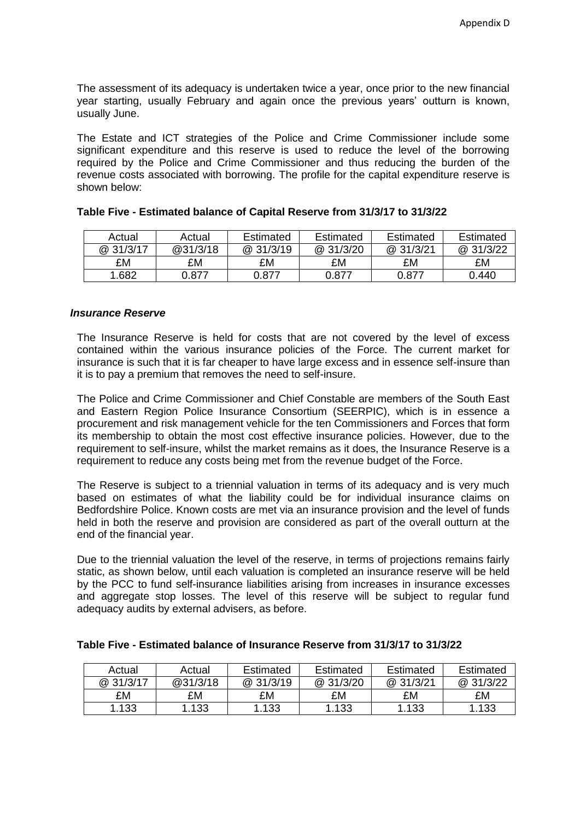The assessment of its adequacy is undertaken twice a year, once prior to the new financial year starting, usually February and again once the previous years' outturn is known, usually June.

The Estate and ICT strategies of the Police and Crime Commissioner include some significant expenditure and this reserve is used to reduce the level of the borrowing required by the Police and Crime Commissioner and thus reducing the burden of the revenue costs associated with borrowing. The profile for the capital expenditure reserve is shown below:

| Actual    | Actual   | Estimated | Estimated | Estimated | Estimated |
|-----------|----------|-----------|-----------|-----------|-----------|
| @ 31/3/17 | @31/3/18 | @ 31/3/19 | @ 31/3/20 | @31/3/21  | @ 31/3/22 |
| £M        | £M       | £M        | £M        | £M        | £M        |
| 1.682     | 0.877    | 0.877     | 0.877     | 0.877     | 0.440     |

#### **Table Five - Estimated balance of Capital Reserve from 31/3/17 to 31/3/22**

#### *Insurance Reserve*

The Insurance Reserve is held for costs that are not covered by the level of excess contained within the various insurance policies of the Force. The current market for insurance is such that it is far cheaper to have large excess and in essence self-insure than it is to pay a premium that removes the need to self-insure.

The Police and Crime Commissioner and Chief Constable are members of the South East and Eastern Region Police Insurance Consortium (SEERPIC), which is in essence a procurement and risk management vehicle for the ten Commissioners and Forces that form its membership to obtain the most cost effective insurance policies. However, due to the requirement to self-insure, whilst the market remains as it does, the Insurance Reserve is a requirement to reduce any costs being met from the revenue budget of the Force.

The Reserve is subject to a triennial valuation in terms of its adequacy and is very much based on estimates of what the liability could be for individual insurance claims on Bedfordshire Police. Known costs are met via an insurance provision and the level of funds held in both the reserve and provision are considered as part of the overall outturn at the end of the financial year.

Due to the triennial valuation the level of the reserve, in terms of projections remains fairly static, as shown below, until each valuation is completed an insurance reserve will be held by the PCC to fund self-insurance liabilities arising from increases in insurance excesses and aggregate stop losses. The level of this reserve will be subject to regular fund adequacy audits by external advisers, as before.

| Actual    | Actual   | Estimated | <b>Estimated</b> | Estimated | Estimated |
|-----------|----------|-----------|------------------|-----------|-----------|
| @ 31/3/17 | @31/3/18 | @31/3/19  | @ 31/3/20        | @ 31/3/21 | @ 31/3/22 |
| £M        | £M       | £M        | £M               | £M        | £M        |
| 1.133     | 1.133    | 1.133     | 1.133            | 1.133     | 1.133     |

# **Table Five - Estimated balance of Insurance Reserve from 31/3/17 to 31/3/22**